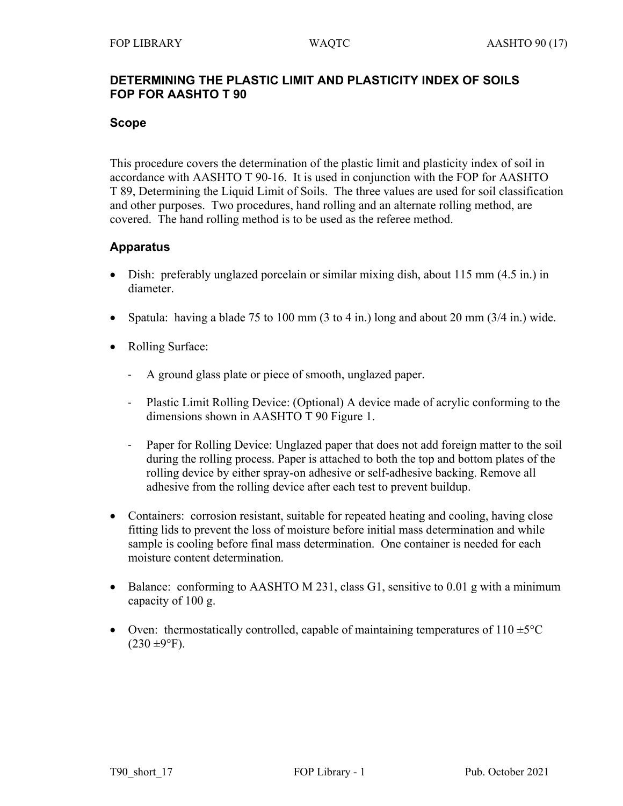### **DETERMINING THE PLASTIC LIMIT AND PLASTICITY INDEX OF SOILS FOP FOR AASHTO T 90**

### **Scope**

This procedure covers the determination of the plastic limit and plasticity index of soil in accordance with AASHTO T 90-16. It is used in conjunction with the FOP for AASHTO T 89, Determining the Liquid Limit of Soils. The three values are used for soil classification and other purposes. Two procedures, hand rolling and an alternate rolling method, are covered. The hand rolling method is to be used as the referee method.

## **Apparatus**

- Dish: preferably unglazed porcelain or similar mixing dish, about 115 mm (4.5 in.) in diameter.
- Spatula: having a blade 75 to 100 mm (3 to 4 in.) long and about 20 mm (3/4 in.) wide.
- Rolling Surface:
	- A ground glass plate or piece of smooth, unglazed paper.
	- Plastic Limit Rolling Device: (Optional) A device made of acrylic conforming to the dimensions shown in AASHTO T 90 Figure 1.
	- Paper for Rolling Device: Unglazed paper that does not add foreign matter to the soil during the rolling process. Paper is attached to both the top and bottom plates of the rolling device by either spray-on adhesive or self-adhesive backing. Remove all adhesive from the rolling device after each test to prevent buildup.
- Containers: corrosion resistant, suitable for repeated heating and cooling, having close fitting lids to prevent the loss of moisture before initial mass determination and while sample is cooling before final mass determination. One container is needed for each moisture content determination.
- Balance: conforming to AASHTO M 231, class G1, sensitive to 0.01 g with a minimum capacity of 100 g.
- Oven: thermostatically controlled, capable of maintaining temperatures of  $110 \pm 5^{\circ}$ C  $(230 \pm 9$ °F).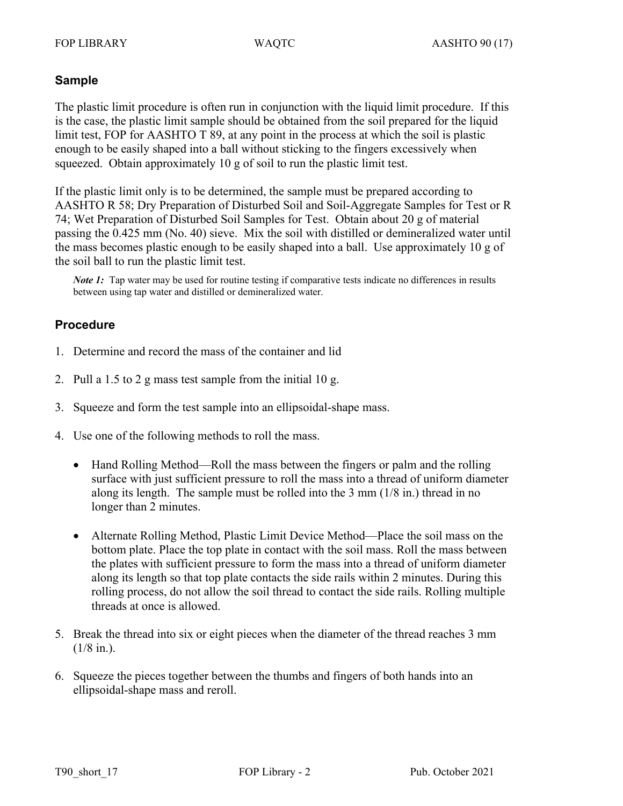## **Sample**

The plastic limit procedure is often run in conjunction with the liquid limit procedure. If this is the case, the plastic limit sample should be obtained from the soil prepared for the liquid limit test, FOP for AASHTO T 89, at any point in the process at which the soil is plastic enough to be easily shaped into a ball without sticking to the fingers excessively when squeezed. Obtain approximately 10 g of soil to run the plastic limit test.

If the plastic limit only is to be determined, the sample must be prepared according to AASHTO R 58; Dry Preparation of Disturbed Soil and Soil-Aggregate Samples for Test or R 74; Wet Preparation of Disturbed Soil Samples for Test. Obtain about 20 g of material passing the 0.425 mm (No. 40) sieve. Mix the soil with distilled or demineralized water until the mass becomes plastic enough to be easily shaped into a ball. Use approximately 10 g of the soil ball to run the plastic limit test.

*Note 1*: Tap water may be used for routine testing if comparative tests indicate no differences in results between using tap water and distilled or demineralized water.

## **Procedure**

- 1. Determine and record the mass of the container and lid
- 2. Pull a 1.5 to 2 g mass test sample from the initial 10 g.
- 3. Squeeze and form the test sample into an ellipsoidal-shape mass.
- 4. Use one of the following methods to roll the mass.
	- Hand Rolling Method—Roll the mass between the fingers or palm and the rolling surface with just sufficient pressure to roll the mass into a thread of uniform diameter along its length. The sample must be rolled into the 3 mm (1/8 in.) thread in no longer than 2 minutes.
	- Alternate Rolling Method, Plastic Limit Device Method—Place the soil mass on the bottom plate. Place the top plate in contact with the soil mass. Roll the mass between the plates with sufficient pressure to form the mass into a thread of uniform diameter along its length so that top plate contacts the side rails within 2 minutes. During this rolling process, do not allow the soil thread to contact the side rails. Rolling multiple threads at once is allowed.
- 5. Break the thread into six or eight pieces when the diameter of the thread reaches 3 mm  $(1/8$  in.).
- 6. Squeeze the pieces together between the thumbs and fingers of both hands into an ellipsoidal-shape mass and reroll.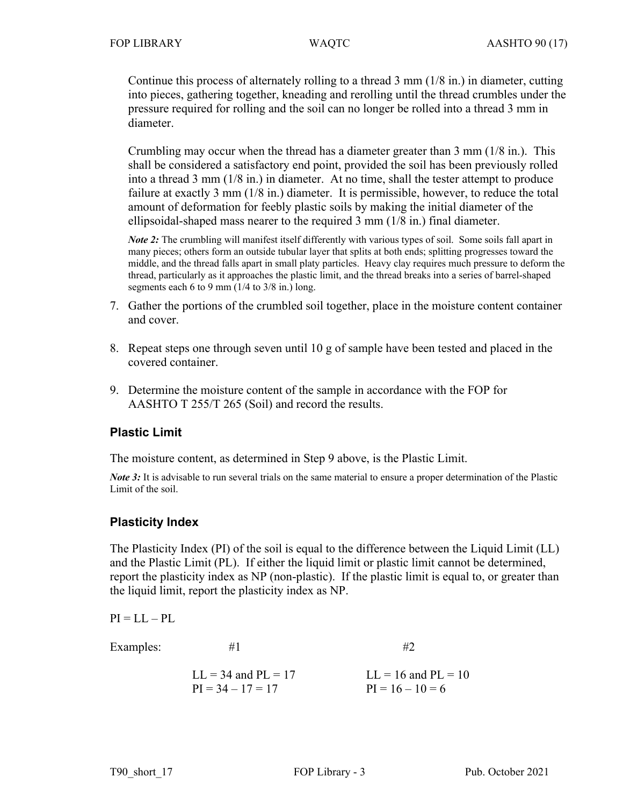Continue this process of alternately rolling to a thread  $3 \text{ mm } (1/8 \text{ in.})$  in diameter, cutting into pieces, gathering together, kneading and rerolling until the thread crumbles under the pressure required for rolling and the soil can no longer be rolled into a thread 3 mm in diameter.

Crumbling may occur when the thread has a diameter greater than 3 mm (1/8 in.). This shall be considered a satisfactory end point, provided the soil has been previously rolled into a thread 3 mm (1/8 in.) in diameter. At no time, shall the tester attempt to produce failure at exactly 3 mm (1/8 in.) diameter. It is permissible, however, to reduce the total amount of deformation for feebly plastic soils by making the initial diameter of the ellipsoidal-shaped mass nearer to the required 3 mm (1/8 in.) final diameter.

*Note 2*: The crumbling will manifest itself differently with various types of soil. Some soils fall apart in many pieces; others form an outside tubular layer that splits at both ends; splitting progresses toward the middle, and the thread falls apart in small platy particles. Heavy clay requires much pressure to deform the thread, particularly as it approaches the plastic limit, and the thread breaks into a series of barrel-shaped segments each 6 to 9 mm  $(1/4$  to  $3/8$  in.) long.

- 7. Gather the portions of the crumbled soil together, place in the moisture content container and cover.
- 8. Repeat steps one through seven until 10 g of sample have been tested and placed in the covered container.
- 9. Determine the moisture content of the sample in accordance with the FOP for AASHTO T 255/T 265 (Soil) and record the results.

## **Plastic Limit**

The moisture content, as determined in Step 9 above, is the Plastic Limit.

*Note 3*: It is advisable to run several trials on the same material to ensure a proper determination of the Plastic Limit of the soil.

## **Plasticity Index**

The Plasticity Index (PI) of the soil is equal to the difference between the Liquid Limit (LL) and the Plastic Limit (PL). If either the liquid limit or plastic limit cannot be determined, report the plasticity index as NP (non-plastic). If the plastic limit is equal to, or greater than the liquid limit, report the plasticity index as NP.

 $PI = LL - PL$ 

Examples:  $#1$   $#2$ 

 $LL = 34$  and  $PL = 17$   $LL = 16$  and  $PL = 10$  $PI = 34 - 17 = 17$   $PI = 16 - 10 = 6$